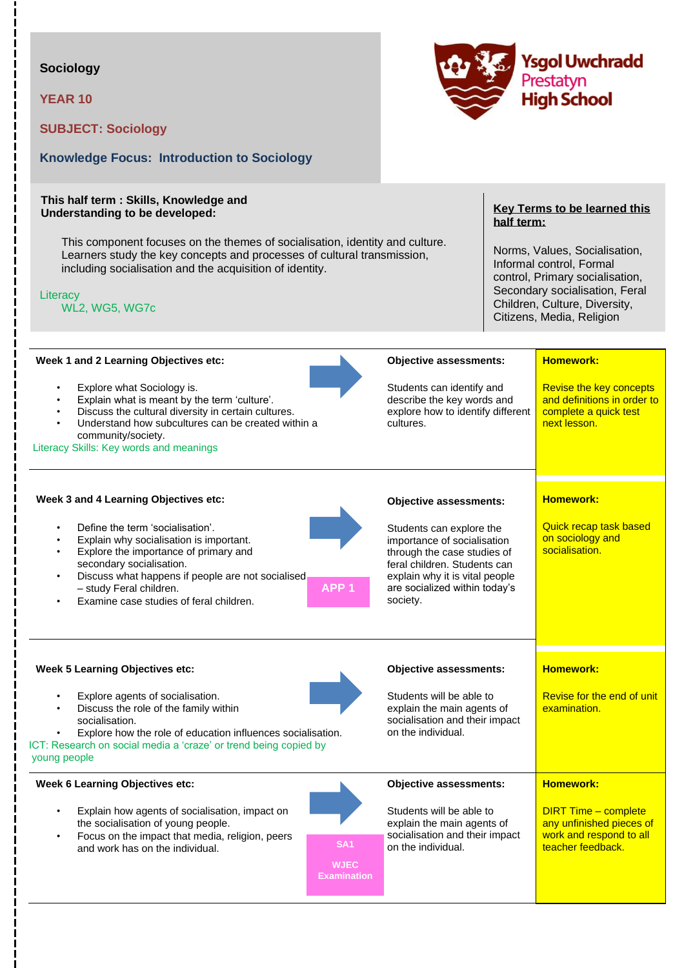## **Sociology**

**YEAR 10**

**SUBJECT: Sociology** 



# **This half term : Skills, Knowledge and**

**Knowledge Focus: Introduction to Sociology**

**Understanding to be developed:** 

This component focuses on the themes of socialisation, identity and culture. Learners study the key concepts and processes of cultural transmission, including socialisation and the acquisition of identity.

**Literacy** 

WL2, WG5, WG7c

### **Key Terms to be learned this half term:**

Norms, Values, Socialisation, Informal control, Formal control, Primary socialisation, Secondary socialisation, Feral Children, Culture, Diversity, Citizens, Media, Religion

| Week 1 and 2 Learning Objectives etc:                                                                                                                                                                                                                                                                                                        |                                                 | <b>Objective assessments:</b>                                                                                                                                                                         | <b>Homework:</b>                                                                                        |
|----------------------------------------------------------------------------------------------------------------------------------------------------------------------------------------------------------------------------------------------------------------------------------------------------------------------------------------------|-------------------------------------------------|-------------------------------------------------------------------------------------------------------------------------------------------------------------------------------------------------------|---------------------------------------------------------------------------------------------------------|
| Explore what Sociology is.<br>$\bullet$<br>Explain what is meant by the term 'culture'.<br>Discuss the cultural diversity in certain cultures.<br>$\bullet$<br>Understand how subcultures can be created within a<br>$\bullet$<br>community/society.<br>Literacy Skills: Key words and meanings                                              |                                                 | Students can identify and<br>describe the key words and<br>explore how to identify different<br>cultures.                                                                                             | Revise the key concepts<br>and definitions in order to<br>complete a quick test<br>next lesson.         |
| Week 3 and 4 Learning Objectives etc:                                                                                                                                                                                                                                                                                                        |                                                 | <b>Objective assessments:</b>                                                                                                                                                                         | <b>Homework:</b>                                                                                        |
| Define the term 'socialisation'.<br>$\bullet$<br>Explain why socialisation is important.<br>$\bullet$<br>Explore the importance of primary and<br>$\bullet$<br>secondary socialisation.<br>Discuss what happens if people are not socialised<br>$\bullet$<br>- study Feral children.<br>Examine case studies of feral children.<br>$\bullet$ | APP <sub>1</sub>                                | Students can explore the<br>importance of socialisation<br>through the case studies of<br>feral children. Students can<br>explain why it is vital people<br>are socialized within today's<br>society. | <b>Quick recap task based</b><br>on sociology and<br>socialisation.                                     |
| <b>Week 5 Learning Objectives etc:</b>                                                                                                                                                                                                                                                                                                       |                                                 | <b>Objective assessments:</b>                                                                                                                                                                         | <b>Homework:</b>                                                                                        |
| Explore agents of socialisation.<br>$\bullet$<br>Discuss the role of the family within<br>$\bullet$<br>socialisation.<br>Explore how the role of education influences socialisation.<br>$\bullet$<br>ICT: Research on social media a 'craze' or trend being copied by<br>young people                                                        |                                                 | Students will be able to<br>explain the main agents of<br>socialisation and their impact<br>on the individual.                                                                                        | Revise for the end of unit<br>examination.                                                              |
| <b>Week 6 Learning Objectives etc:</b>                                                                                                                                                                                                                                                                                                       |                                                 | <b>Objective assessments:</b>                                                                                                                                                                         | <b>Homework:</b>                                                                                        |
| Explain how agents of socialisation, impact on<br>the socialisation of young people.<br>Focus on the impact that media, religion, peers<br>$\bullet$<br>and work has on the individual.                                                                                                                                                      | <b>SA1</b><br><b>WJEC</b><br><b>Examination</b> | Students will be able to<br>explain the main agents of<br>socialisation and their impact<br>on the individual.                                                                                        | <b>DIRT Time - complete</b><br>any unfinished pieces of<br>work and respond to all<br>teacher feedback. |